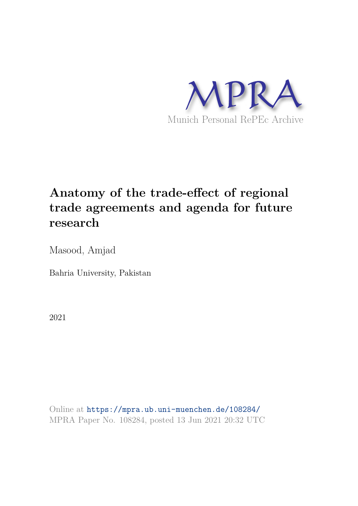

# **Anatomy of the trade-effect of regional trade agreements and agenda for future research**

Masood, Amjad

Bahria University, Pakistan

2021

Online at https://mpra.ub.uni-muenchen.de/108284/ MPRA Paper No. 108284, posted 13 Jun 2021 20:32 UTC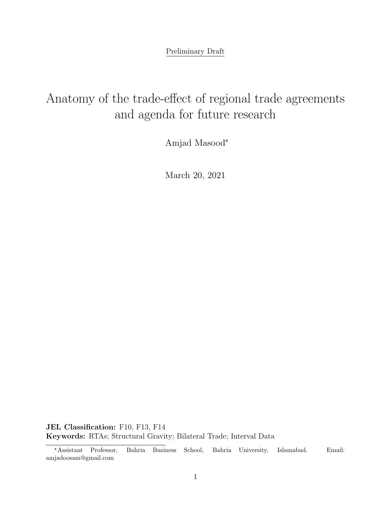Preliminary Draft

# Anatomy of the trade-effect of regional trade agreements and agenda for future research

Amjad Masood✯

March 20, 2021

JEL Classification: F10, F13, F14 Keywords: RTAs; Structural Gravity; Bilateral Trade; Interval Data

<sup>✯</sup>Assistant Professor, Bahria Business School, Bahria University, Islamabad. Email: amjadoosam@gmail.com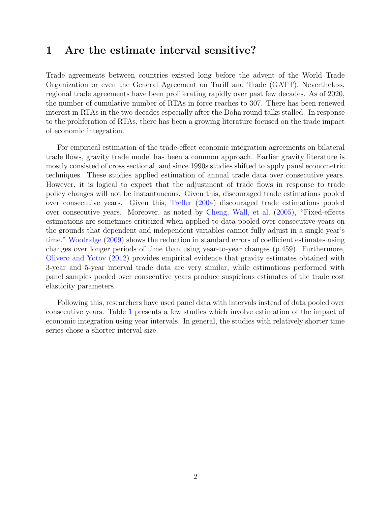### 1 Are the estimate interval sensitive?

Trade agreements between countries existed long before the advent of the World Trade Organization or even the General Agreement on Tariff and Trade (GATT). Nevertheless, regional trade agreements have been proliferating rapidly over past few decades. As of 2020, the number of cumulative number of RTAs in force reaches to 307. There has been renewed interest in RTAs in the two decades especially after the Doha round talks stalled. In response to the proliferation of RTAs, there has been a growing literature focused on the trade impact of economic integration.

For empirical estimation of the trade-effect economic integration agreements on bilateral trade flows, gravity trade model has been a common approach. Earlier gravity literature is mostly consisted of cross sectional, and since 1990s studies shifted to apply panel econometric techniques. These studies applied estimation of annual trade data over consecutive years. However, it is logical to expect that the adjustment of trade flows in response to trade policy changes will not be instantaneous. Given this, discouraged trade estimations pooled over consecutive years. Given this, Trefler (2004) discouraged trade estimations pooled over consecutive years. Moreover, as noted by Cheng, Wall, et al. (2005), "Fixed-effects estimations are sometimes criticized when applied to data pooled over consecutive years on the grounds that dependent and independent variables cannot fully adjust in a single year's time." Woolridge (2009) shows the reduction in standard errors of coefficient estimates using changes over longer periods of time than using year-to-year changes (p.459). Furthermore, Olivero and Yotov (2012) provides empirical evidence that gravity estimates obtained with 3-year and 5-year interval trade data are very similar, while estimations performed with panel samples pooled over consecutive years produce suspicious estimates of the trade cost elasticity parameters.

Following this, researchers have used panel data with intervals instead of data pooled over consecutive years. Table 1 presents a few studies which involve estimation of the impact of economic integration using year intervals. In general, the studies with relatively shorter time series chose a shorter interval size.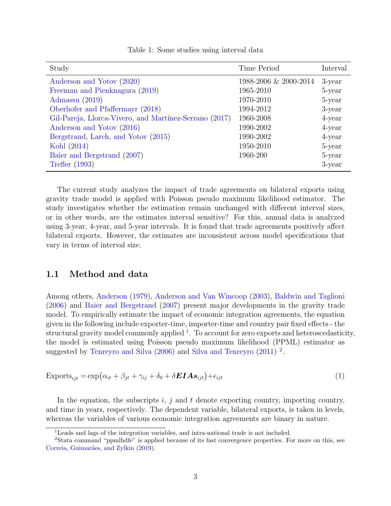| Study                                                  | Time Period           | Interval  |
|--------------------------------------------------------|-----------------------|-----------|
| Anderson and Yotov (2020)                              | 1988-2006 & 2000-2014 | 3-year    |
| Freeman and Pienknagura (2019)                         | 1965-2010             | 5-year    |
| Admassu $(2019)$                                       | 1970-2010             | 5-year    |
| Oberhofer and Pfaffermayr (2018)                       | 1994-2012             | $3$ -year |
| Gil-Pareja, Llorca-Vivero, and Martínez-Serrano (2017) | 1960-2008             | $4$ -year |
| Anderson and Yotov (2016)                              | 1990-2002             | $4$ -year |
| Bergstrand, Larch, and Yotov (2015)                    | 1990-2002             | $4$ -year |
| Kohl (2014)                                            | 1950-2010             | 5-year    |
| Baier and Bergstrand (2007)                            | 1960-200              | 5-year    |
| <b>Trefler</b> (1993)                                  |                       | 3-year    |

Table 1: Some studies using interval data

The current study analyzes the impact of trade agreements on bilateral exports using gravity trade model is applied with Poisson pseudo maximum likelihood estimator. The study investigates whether the estimation remain unchanged with different interval sizes, or in other words, are the estimates interval sensitive? For this, annual data is analyzed using 3-year, 4-year, and 5-year intervals. It is found that trade agreements positively affect bilateral exports. However, the estimates are inconsistent across model specifications that vary in terms of interval size.

#### 1.1 Method and data

Among others, Anderson (1979), Anderson and Van Wincoop (2003), Baldwin and Taglioni (2006) and Baier and Bergstrand (2007) present major developments in the gravity trade model. To empirically estimate the impact of economic integration agreements, the equation given in the following include exporter-time, importer-time and country pair fixed effects - the structural gravity model commonly applied  $^1$  . To account for zero exports and heteroscedasticity, the model is estimated using Poisson pseudo maximum likelihood (PPML) estimator as suggested by Tenreyro and Silva (2006) and Silva and Tenreyro (2011)<sup>2</sup>.

$$
\text{Exports}_{ijt} = \exp\left(\alpha_{it} + \beta_{jt} + \gamma_{ij} + \delta_0 + \delta EIAs_{ijt}\right) + \epsilon_{ijt}
$$
\n<sup>(1)</sup>

In the equation, the subscripts  $i, j$  and  $t$  denote exporting country, importing country, and time in years, respectively. The dependent variable, bilateral exports, is taken in levels, whereas the variables of various economic integration agreements are binary in nature.

<sup>&</sup>lt;sup>1</sup>Leads and lags of the integration variables, and intra-national trade is not included.

<sup>2</sup>Stata command "ppmlhdfe" is applied because of its fast convergence properties. For more on this, see Correia, Guimarães, and Zylkin (2019).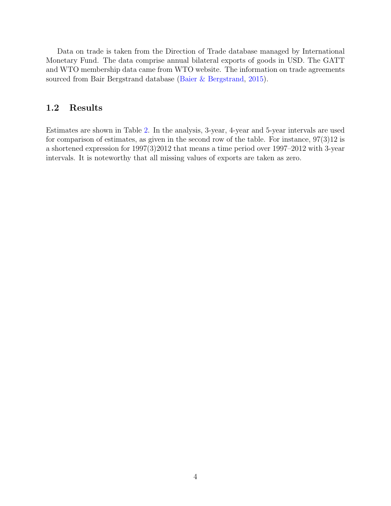Data on trade is taken from the Direction of Trade database managed by International Monetary Fund. The data comprise annual bilateral exports of goods in USD. The GATT and WTO membership data came from WTO website. The information on trade agreements sourced from Bair Bergstrand database (Baier & Bergstrand, 2015).

#### 1.2 Results

Estimates are shown in Table 2. In the analysis, 3-year, 4-year and 5-year intervals are used for comparison of estimates, as given in the second row of the table. For instance, 97(3)12 is a shortened expression for 1997(3)2012 that means a time period over 1997–2012 with 3-year intervals. It is noteworthy that all missing values of exports are taken as zero.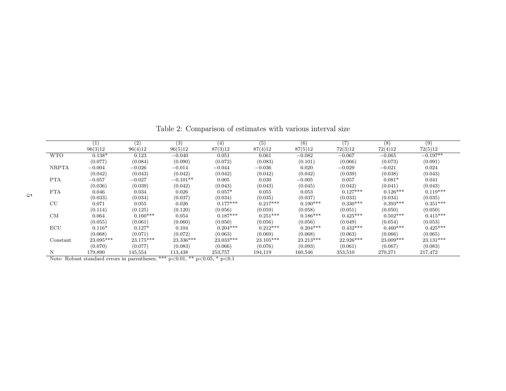|              | (1)         | (2)        | (3)         | (4)        | (5)        | (6)        | $\overline{(7)}$ | (8)        | (9)        |
|--------------|-------------|------------|-------------|------------|------------|------------|------------------|------------|------------|
|              | 96(3)12     | 96(4)12    | 96(5)12     | 87(3)12    | 87(4)12    | 87(5)12    | 72(3)12          | 72(4)12    | 72(5)12    |
| <b>WTO</b>   | $0.138*$    | 0.123      | $-0.040$    | 0.051      | 0.061      | $-0.082$   | $-0.067$         | $-0.065$   | $-0.197**$ |
|              | (0.077)     | (0.084)    | (0.090)     | (0.072)    | (0.083)    | (0.101)    | (0.066)          | (0.073)    | (0.091)    |
| <b>NRPTA</b> | $-0.004$    | $-0.026$   | $-0.014$    | $-0.044$   | $-0.036$   | 0.020      | $-0.029$         | $-0.021$   | 0.024      |
|              | (0.042)     | (0.043)    | (0.042)     | (0.042)    | (0.042)    | (0.042)    | (0.039)          | (0.038)    | (0.043)    |
| <b>PTA</b>   | $-0.057$    | $-0.027$   | $-0.101**$  | 0.005      | 0.030      | $-0.005$   | 0.057            | $0.081*$   | 0.041      |
|              | (0.036)     | (0.039)    | (0.042)     | (0.043)    | (0.043)    | (0.045)    | (0.042)          | (0.041)    | (0.043)    |
| FTA          | 0.046       | 0.034      | 0.026       | $0.057*$   | 0.055      | 0.053      | $0.127***$       | $0.126***$ | $0.119***$ |
|              | (0.033)     | (0.034)    | (0.037)     | (0.034)    | (0.035)    | (0.037)    | (0.033)          | (0.034)    | (0.035)    |
| CU           | 0.071       | 0.055      | 0.026       | $0.177***$ | $0.217***$ | $0.190***$ | $0.330***$       | $0.393***$ | $0.351***$ |
|              | (0.114)     | (0.125)    | (0.120)     | (0.056)    | (0.059)    | (0.058)    | (0.051)          | (0.050)    | (0.050)    |
| CM           | 0.064       | $0.160***$ | 0.054       | $0.187***$ | $0.251***$ | $0.186***$ | $0.425***$       | $0.502***$ | $0.415***$ |
|              | (0.055)     | (0.061)    | (0.060)     | (0.050)    | (0.056)    | (0.056)    | (0.049)          | (0.054)    | (0.053)    |
| ECU          | $0.116*$    | $0.127*$   | 0.104       | $0.204***$ | $0.212***$ | $0.204***$ | $0.432***$       | $0.460***$ | $0.425***$ |
|              | (0.068)     | (0.071)    | (0.072)     | (0.063)    | (0.069)    | (0.068)    | (0.063)          | (0.066)    | (0.065)    |
| Constant     | $23.095***$ | 23.175***  | $23.336***$ | 23.033***  | 23.105***  | 23.213***  | 22.926***        | 23.009***  | 23.131***  |
|              | (0.070)     | (0.077)    | (0.083)     | (0.066)    | (0.076)    | (0.093)    | (0.061)          | (0.067)    | (0.083)    |
| Ν            | 179,890     | 145,554    | 113,438     | 253,757    | 194,119    | 160,546    | 353,510          | 270,271    | 217,472    |

Table 2: Comparison of estimates with various interval size

Note: Robust standard errors in parentheses; \*\*\*  $p<0.01$ , \*\*  $p<0.05$ , \*  $p<0.1$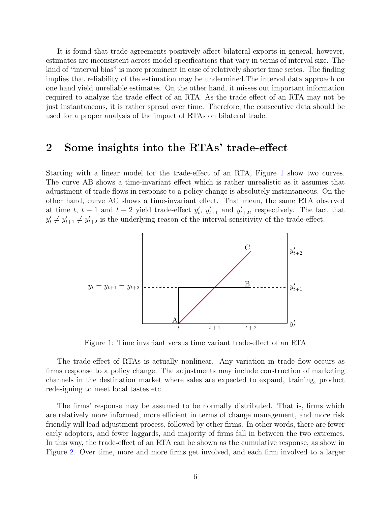It is found that trade agreements positively affect bilateral exports in general, however, estimates are inconsistent across model specifications that vary in terms of interval size. The kind of "interval bias" is more prominent in case of relatively shorter time series. The finding implies that reliability of the estimation may be undermined.The interval data approach on one hand yield unreliable estimates. On the other hand, it misses out important information required to analyze the trade effect of an RTA. As the trade effect of an RTA may not be just instantaneous, it is rather spread over time. Therefore, the consecutive data should be used for a proper analysis of the impact of RTAs on bilateral trade.

### 2 Some insights into the RTAs' trade-effect

Starting with a linear model for the trade-effect of an RTA, Figure 1 show two curves. The curve AB shows a time-invariant effect which is rather unrealistic as it assumes that adjustment of trade flows in response to a policy change is absolutely instantaneous. On the other hand, curve AC shows a time-invariant effect. That mean, the same RTA observed at time t,  $t + 1$  and  $t + 2$  yield trade-effect  $y_t'$  $y'_{t+1}$  and  $y'_{t+2}$ , respectively. The fact that  $y'_t \neq y'_{t+1} \neq y'_{t+2}$  is the underlying reason of the interval-sensitivity of the trade-effect.



Figure 1: Time invariant versus time variant trade-effect of an RTA

The trade-effect of RTAs is actually nonlinear. Any variation in trade flow occurs as firms response to a policy change. The adjustments may include construction of marketing channels in the destination market where sales are expected to expand, training, product redesigning to meet local tastes etc.

The firms' response may be assumed to be normally distributed. That is, firms which are relatively more informed, more efficient in terms of change management, and more risk friendly will lead adjustment process, followed by other firms. In other words, there are fewer early adopters, and fewer laggards, and majority of firms fall in between the two extremes. In this way, the trade-effect of an RTA can be shown as the cumulative response, as show in Figure 2. Over time, more and more firms get involved, and each firm involved to a larger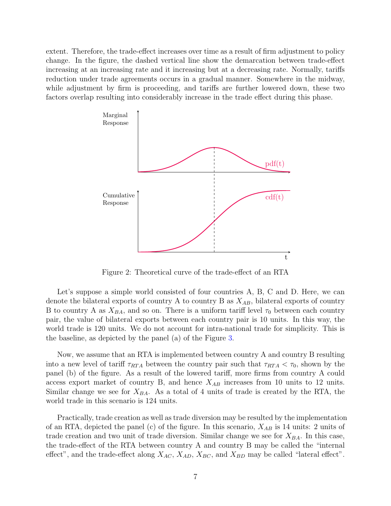extent. Therefore, the trade-effect increases over time as a result of firm adjustment to policy change. In the figure, the dashed vertical line show the demarcation between trade-effect increasing at an increasing rate and it increasing but at a decreasing rate. Normally, tariffs reduction under trade agreements occurs in a gradual manner. Somewhere in the midway, while adjustment by firm is proceeding, and tariffs are further lowered down, these two factors overlap resulting into considerably increase in the trade effect during this phase.



Figure 2: Theoretical curve of the trade-effect of an RTA

Let's suppose a simple world consisted of four countries A, B, C and D. Here, we can denote the bilateral exports of country A to country B as  $X_{AB}$ , bilateral exports of country B to country A as  $X_{BA}$ , and so on. There is a uniform tariff level  $\tau_0$  between each country pair, the value of bilateral exports between each country pair is 10 units. In this way, the world trade is 120 units. We do not account for intra-national trade for simplicity. This is the baseline, as depicted by the panel (a) of the Figure 3.

Now, we assume that an RTA is implemented between country A and country B resulting into a new level of tariff  $\tau_{RTA}$  between the country pair such that  $\tau_{RTA} < \tau_0$ , shown by the panel (b) of the figure. As a result of the lowered tariff, more firms from country A could access export market of country B, and hence  $X_{AB}$  increases from 10 units to 12 units. Similar change we see for  $X_{BA}$ . As a total of 4 units of trade is created by the RTA, the world trade in this scenario is 124 units.

Practically, trade creation as well as trade diversion may be resulted by the implementation of an RTA, depicted the panel (c) of the figure. In this scenario,  $X_{AB}$  is 14 units: 2 units of trade creation and two unit of trade diversion. Similar change we see for  $X_{BA}$ . In this case, the trade-effect of the RTA between country A and country B may be called the "internal effect", and the trade-effect along  $X_{AC}$ ,  $X_{AD}$ ,  $X_{BC}$ , and  $X_{BD}$  may be called "lateral effect".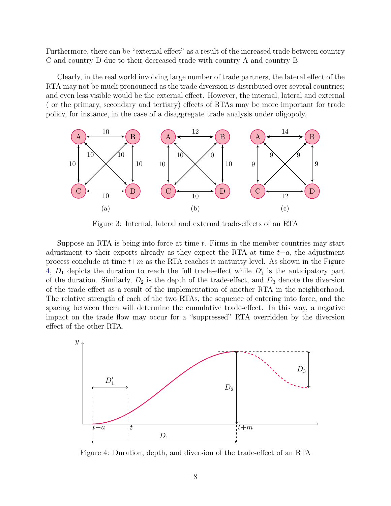Furthermore, there can be "external effect" as a result of the increased trade between country C and country D due to their decreased trade with country A and country B.

Clearly, in the real world involving large number of trade partners, the lateral effect of the RTA may not be much pronounced as the trade diversion is distributed over several countries; and even less visible would be the external effect. However, the internal, lateral and external ( or the primary, secondary and tertiary) effects of RTAs may be more important for trade policy, for instance, in the case of a disaggregate trade analysis under oligopoly.



Figure 3: Internal, lateral and external trade-effects of an RTA

Suppose an RTA is being into force at time  $t$ . Firms in the member countries may start adjustment to their exports already as they expect the RTA at time  $t-a$ , the adjustment process conclude at time  $t+m$  as the RTA reaches it maturity level. As shown in the Figure 4,  $D_1$  depicts the duration to reach the full trade-effect while  $D'_1$  is the anticipatory part of the duration. Similarly,  $D_2$  is the depth of the trade-effect, and  $D_3$  denote the diversion of the trade effect as a result of the implementation of another RTA in the neighborhood. The relative strength of each of the two RTAs, the sequence of entering into force, and the spacing between them will determine the cumulative trade-effect. In this way, a negative impact on the trade flow may occur for a "suppressed" RTA overridden by the diversion effect of the other RTA.



Figure 4: Duration, depth, and diversion of the trade-effect of an RTA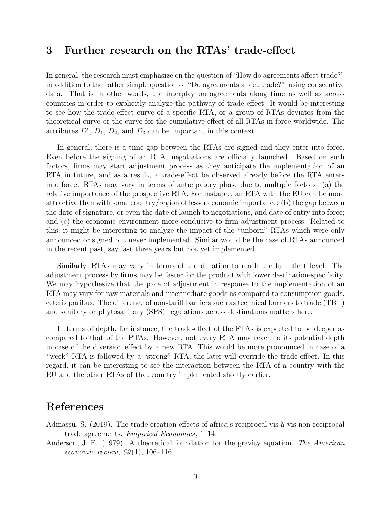# 3 Further research on the RTAs' trade-effect

In general, the research must emphasize on the question of "How do agreements affect trade?" in addition to the rather simple question of "Do agreements affect trade?" using consecutive data. That is in other words, the interplay on agreements along time as well as across countries in order to explicitly analyze the pathway of trade effect. It would be interesting to see how the trade-effect curve of a specific RTA, or a group of RTAs deviates from the theoretical curve or the curve for the cumulative effect of all RTAs in force worldwide. The attributes  $D'_1$ ,  $D_1$ ,  $D_2$ , and  $D_3$  can be important in this context.

In general, there is a time gap between the RTAs are signed and they enter into force. Even before the signing of an RTA, negotiations are officially launched. Based on such factors, firms may start adjustment process as they anticipate the implementation of an RTA in future, and as a result, a trade-effect be observed already before the RTA enters into force. RTAs may vary in terms of anticipatory phase due to multiple factors: (a) the relative importance of the prospective RTA. For instance, an RTA with the EU can be more attractive than with some country/region of lesser economic importance; (b) the gap between the date of signature, or even the date of launch to negotiations, and date of entry into force; and (c) the economic environment more conducive to firm adjustment process. Related to this, it might be interesting to analyze the impact of the "unborn" RTAs which were only announced or signed but never implemented. Similar would be the case of RTAs announced in the recent past, say last three years but not yet implemented.

Similarly, RTAs may vary in terms of the duration to reach the full effect level. The adjustment process by firms may be faster for the product with lower destination-specificity. We may hypothesize that the pace of adjustment in response to the implementation of an RTA may vary for raw materials and intermediate goods as compared to consumption goods, ceteris paribus. The difference of non-tariff barriers such as technical barriers to trade (TBT) and sanitary or phytosanitary (SPS) regulations across destinations matters here.

In terms of depth, for instance, the trade-effect of the FTAs is expected to be deeper as compared to that of the PTAs. However, not every RTA may reach to its potential depth in case of the diversion effect by a new RTA. This would be more pronounced in case of a "week" RTA is followed by a "strong" RTA, the later will override the trade-effect. In this regard, it can be interesting to see the interaction between the RTA of a country with the EU and the other RTAs of that country implemented shortly earlier.

## References

- Admassu, S. (2019). The trade creation effects of africa's reciprocal vis-à-vis non-reciprocal trade agreements. *Empirical Economics*, 1–14.
- Anderson, J. E. (1979). A theoretical foundation for the gravity equation. *The American economic review*, *69* (1), 106–116.